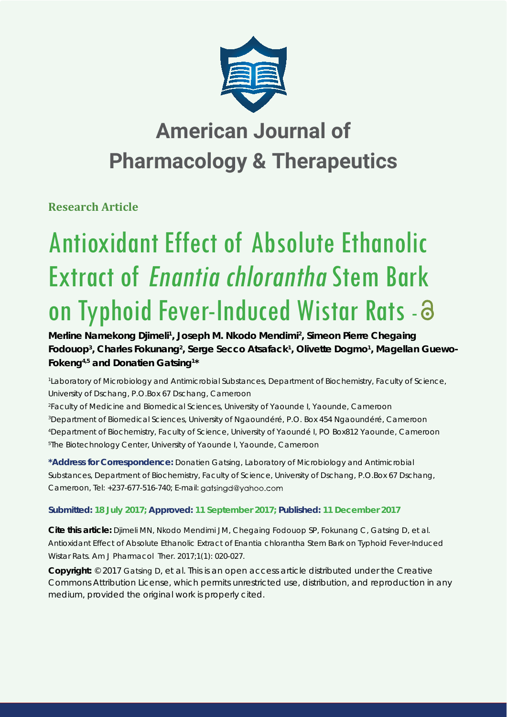

# **American Journal of Pharmacology & Therapeutics**

**Research Article**

# Antioxidant Effect of Absolute Ethanolic Extract of Enantia chlorantha Stem Bark on Typhoid Fever-Induced Wistar Rats - 3

Merline Namekong Djimeli<sup>1</sup>, Joseph M. Nkodo Mendimi<sup>2</sup>, Simeon Pierre Chegaing Fodouop<sup>3</sup>, Charles Fokunang<sup>2</sup>, Serge Secco Atsafack<sup>1</sup>, Olivette Dogmo<sup>1</sup>, Magellan Guewo-**Fokeng4,5 and Donatien Gatsing1 \***

*1 Laboratory of Microbiology and Antimicrobial Substances, Department of Biochemistry, Faculty of Science, University of Dschang, P.O.Box 67 Dschang, Cameroon*

 *Faculty of Medicine and Biomedical Sciences, University of Yaounde I, Yaounde, Cameroon Department of Biomedical Sciences, University of Ngaoundéré, P.O. Box 454 Ngaoundéré, Cameroon Department of Biochemistry, Faculty of Science, University of Yaoundé I, PO Box812 Yaounde, Cameroon The Biotechnology Center, University of Yaounde I, Yaounde, Cameroon*

**\*Address for Correspondence:** Donatien Gatsing, Laboratory of Microbiology and Antimicrobial Substances, Department of Biochemistry, Faculty of Science, University of Dschang, P.O.Box 67 Dschang, Cameroon, Tel: +237-677-516-740; E-mail: gatsingd@yahoo.com

# **Submitted: 18 July 2017; Approved: 11 September 2017; Published: 11 December 2017**

**Cite this article:** Djimeli MN, Nkodo Mendimi JM, Chegaing Fodouop SP, Fokunang C, Gatsing D, et al. Antioxidant Effect of Absolute Ethanolic Extract of *Enantia chlorantha* Stem Bark on Typhoid Fever-Induced Wistar Rats. Am J Pharmacol Ther. 2017;1(1): 020-027.

**Copyright:** © 2017 Gatsing D, et al. This is an open access article distributed under the Creative Commons Attribution License, which permits unrestricted use, distribution, and reproduction in any medium, provided the original work is properly cited.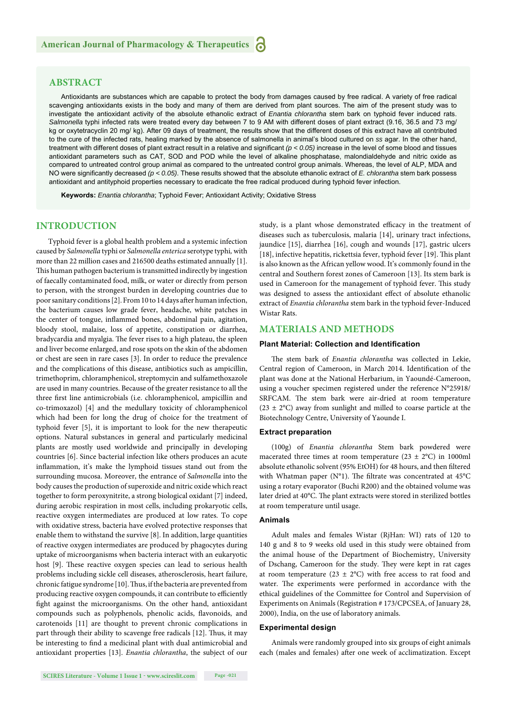# **ABSTRACT**

Antioxidants are substances which are capable to protect the body from damages caused by free radical. A variety of free radical scavenging antioxidants exists in the body and many of them are derived from plant sources. The aim of the present study was to investigate the antioxidant activity of the absolute ethanolic extract of *Enantia chlorantha* stem bark on typhoid fever induced rats. *Salmonella* typhi infected rats were treated every day between 7 to 9 AM with different doses of plant extract (9.16, 36.5 and 73 mg/ kg or oxytetracyclin 20 mg/ kg). After 09 days of treatment, the results show that the different doses of this extract have all contributed to the cure of the infected rats, healing marked by the absence of salmonella in animal's blood cultured on *ss* agar. In the other hand, treatment with different doses of plant extract result in a relative and significant  $(p < 0.05)$  increase in the level of some blood and tissues antioxidant parameters such as CAT, SOD and POD while the level of alkaline phosphatase, malondialdehyde and nitric oxide as compared to untreated control group animal as compared to the untreated control group animals. Whereas, the level of ALP, MDA and NO were significantly decreased ( $p < 0.05$ ). These results showed that the absolute ethanolic extract of *E. chlorantha* stem bark possess antioxidant and antityphoid properties necessary to eradicate the free radical produced during typhoid fever infection.

**Keywords:** *Enantia chlorantha*; Typhoid Fever; Antioxidant Activity; Oxidative Stress

# **INTRODUCTION**

Typhoid fever is a global health problem and a systemic infection caused by *Salmonella* typhi or *Salmonella enterica* serotype typhi*,* with more than 22 million cases and 216500 deaths estimated annually [1]. This human pathogen bacterium is transmitted indirectly by ingestion of faecally contaminated food, milk, or water or directly from person to person, with the strongest burden in developing countries due to poor sanitary conditions [2]. From 10 to 14 days after human infection, the bacterium causes low grade fever, headache, white patches in the center of tongue, inflammed bones, abdominal pain, agitation, bloody stool, malaise, loss of appetite, constipation or diarrhea, bradycardia and myalgia. The fever rises to a high plateau, the spleen and liver become enlarged, and rose spots on the skin of the abdomen or chest are seen in rare cases [3]. In order to reduce the prevalence and the complications of this disease, antibiotics such as ampicillin, trimethoprim, chloramphenicol, streptomycin and sulfamethoxazole are used in many countries. Because of the greater resistance to all the three first line antimicrobials (i.e. chloramphenicol, ampicillin and co-trimoxazol) [4] and the medullary toxicity of chloramphenicol which had been for long the drug of choice for the treatment of typhoid fever [5], it is important to look for the new therapeutic options. Natural substances in general and particularly medicinal plants are mostly used worldwide and principally in developing countries [6]. Since bacterial infection like others produces an acute inflammation, it's make the lymphoid tissues stand out from the surrounding mucosa. Moreover, the entrance of *Salmonella* into the body causes the production of superoxide and nitric oxide which react together to form peroxynitrite, a strong biological oxidant [7] indeed, during aerobic respiration in most cells, including prokaryotic cells, reactive oxygen intermediates are produced at low rates. To cope with oxidative stress, bacteria have evolved protective responses that enable them to withstand the survive [8]. In addition, large quantities of reactive oxygen intermediates are produced by phagocytes during uptake of microorganisms when bacteria interact with an eukaryotic host [9]. These reactive oxygen species can lead to serious health problems including sickle cell diseases, atherosclerosis, heart failure, chronic fatigue syndrome [10]. Thus, if the bacteria are prevented from producing reactive oxygen compounds, it can contribute to efficiently fight against the microorganisms. On the other hand, antioxidant compounds such as polyphenols, phenolic acids, flavonoids, and carotenoids [11] are thought to prevent chronic complications in part through their ability to scavenge free radicals [12]. Thus, it may be interesting to find a medicinal plant with dual antimicrobial and antioxidant properties [13]. *Enantia chlorantha*, the subject of our study, is a plant whose demonstrated efficacy in the treatment of diseases such as tuberculosis, malaria [14], urinary tract infections, jaundice [15], diarrhea [16], cough and wounds [17], gastric ulcers [18], infective hepatitis, rickettsia fever, typhoid fever [19]. This plant is also known as the African yellow wood. It's commonly found in the central and Southern forest zones of Cameroon [13]. Its stem bark is used in Cameroon for the management of typhoid fever. This study was designed to assess the antioxidant effect of absolute ethanolic extract of *Enantia chlorantha* stem bark in the typhoid fever-Induced Wistar Rats.

# **MATERIALS AND METHODS**

#### **Plant Material: Collection and Identification**

The stem bark of *Enantia chlorantha* was collected in Lekie, Central region of Cameroon, in March 2014. Identification of the plant was done at the National Herbarium, in Yaoundé-Cameroon, using a voucher specimen registered under the reference N°25918/ SRFCAM. The stem bark were air-dried at room temperature  $(23 \pm 2^{\circ}C)$  away from sunlight and milled to coarse particle at the Biotechnology Centre, University of Yaounde I.

# **Extract preparation**

(100g) of *Enantia chlorantha* Stem bark powdered were macerated three times at room temperature ( $23 \pm 2$ °C) in 1000ml absolute ethanolic solvent (95% EtOH) for 48 hours, and then filtered with Whatman paper (N°1). The filtrate was concentrated at  $45^{\circ}$ C using a rotary evaporator (Buchi R200) and the obtained volume was later dried at 40°C. The plant extracts were stored in sterilized bottles at room temperature until usage.

#### **Animals**

Adult males and females Wistar (RjHan: WI) rats of 120 to 140 g and 8 to 9 weeks old used in this study were obtained from the animal house of the Department of Biochemistry, University of Dschang, Cameroon for the study. They were kept in rat cages at room temperature (23  $\pm$  2°C) with free access to rat food and water. The experiments were performed in accordance with the ethical guidelines of the Committee for Control and Supervision of Experiments on Animals (Registration # 173/CPCSEA, of January 28, 2000), India, on the use of laboratory animals.

# **Experimental design**

Animals were randomly grouped into six groups of eight animals each (males and females) after one week of acclimatization. Except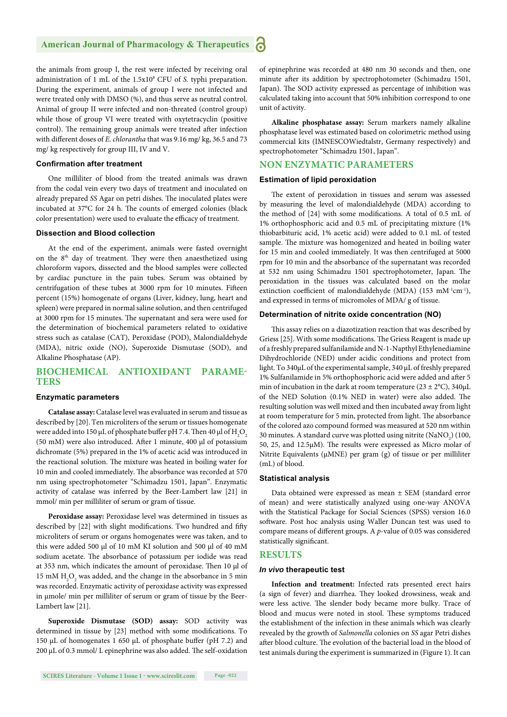the animals from group I, the rest were infected by receiving oral administration of 1 mL of the 1.5x108 CFU of *S.* typhi preparation. During the experiment, animals of group I were not infected and were treated only with DMSO (%), and thus serve as neutral control. Animal of group II were infected and non-threated (control group) while those of group VI were treated with oxytetracyclin (positive control). The remaining group animals were treated after infection with different doses of *E. chlorantha* that was 9.16 mg/ kg, 36.5 and 73 mg/ kg respectively for group III, IV and V.

#### **Confirmation after treatment**

One milliliter of blood from the treated animals was drawn from the codal vein every two days of treatment and inoculated on already prepared *SS* Agar on petri dishes. The inoculated plates were incubated at 37°C for 24 h. The counts of emerged colonies (black color presentation) were used to evaluate the efficacy of treatment.

#### **Dissection and Blood collection**

At the end of the experiment, animals were fasted overnight on the 8<sup>th</sup> day of treatment. They were then anaesthetized using chloroform vapors, dissected and the blood samples were collected by cardiac puncture in the pain tubes. Serum was obtained by centrifugation of these tubes at 3000 rpm for 10 minutes. Fifteen percent (15%) homogenate of organs (Liver, kidney, lung, heart and spleen) were prepared in normal saline solution, and then centrifuged at 3000 rpm for 15 minutes. The supernatant and sera were used for the determination of biochemical parameters related to oxidative stress such as catalase (CAT), Peroxidase (POD), Malondialdehyde (MDA), nitric oxide (NO), Superoxide Dismutase (SOD), and Alkaline Phosphatase (AP).

# **BIOCHEMICAL ANTIOXIDANT PARAME-TERS**

#### **Enzymatic parameters**

**Catalase assay:** Catalase level was evaluated in serum and tissue as described by [20]. Ten microliters of the serum or tissues homogenate were added into 150  $\rm \mu L$  of phosphate buffer pH 7.4. Then 40  $\rm \mu l$  of  $\rm H_2O_2$ (50 mM) were also introduced. After 1 minute, 400 μl of potassium dichromate (5%) prepared in the 1% of acetic acid was introduced in the reactional solution. The mixture was heated in boiling water for 10 min and cooled immediately. The absorbance was recorded at 570 nm using spectrophotometer "Schimadzu 1501, Japan". Enzymatic activity of catalase was inferred by the Beer-Lambert law [21] in mmol/ min per milliliter of serum or gram of tissue.

**Peroxidase assay:** Peroxidase level was determined in tissues as described by [22] with slight modifications. Two hundred and fifty microliters of serum or organs homogenates were was taken, and to this were added 500 μl of 10 mM KI solution and 500 μl of 40 mM sodium acetate. The absorbance of potassium per iodide was read at 353 nm, which indicates the amount of peroxidase. Then 10 μl of  $15~\mathrm{mM}$   $\mathrm{H}_2\mathrm{O}_2$  was added, and the change in the absorbance in 5 min was recorded. Enzymatic activity of peroxidase activity was expressed in μmole/ min per milliliter of serum or gram of tissue by the Beer-Lambert law [21].

**Superoxide Dismutase (SOD) assay:** SOD activity was determined in tissue by [23] method with some modifications. To 150 μL of homogenates 1 650 μL of phosphate buffer (pH 7.2) and 200 μL of 0.3 mmol/ L epinephrine was also added. The self-oxidation of epinephrine was recorded at 480 nm 30 seconds and then, one minute after its addition by spectrophotometer (Schimadzu 1501, Japan). The SOD activity expressed as percentage of inhibition was calculated taking into account that 50% inhibition correspond to one unit of activity.

**Alkaline phosphatase assay:** Serum markers namely alkaline phosphatase level was estimated based on colorimetric method using commercial kits (IMNESCOWiedtalstr, Germany respectively) and spectrophotometer "Schimadzu 1501, Japan".

# **NON ENZYMATIC PARAMETERS**

#### **Estimation of lipid peroxidation**

The extent of peroxidation in tissues and serum was assessed by measuring the level of malondialdehyde (MDA) according to the method of [24] with some modifications. A total of 0.5 mL of 1% orthophosphoric acid and 0.5 mL of precipitating mixture (1% thiobarbituric acid, 1% acetic acid) were added to 0.1 mL of tested sample. The mixture was homogenized and heated in boiling water for 15 min and cooled immediately. It was then centrifuged at 5000 rpm for 10 min and the absorbance of the supernatant was recorded at 532 nm using Schimadzu 1501 spectrophotometer, Japan. The peroxidation in the tissues was calculated based on the molar extinction coefficient of malondialdehyde (MDA) (153 mM<sup>-1</sup>cm<sup>-1</sup>), and expressed in terms of micromoles of MDA/ g of tissue.

#### **Determination of nitrite oxide concentration (NO)**

This assay relies on a diazotization reaction that was described by Griess [25]. With some modifications. The Griess Reagent is made up of a freshly prepared sulfanilamide and N-1-Napthyl Ethylenediamine Dihydrochloride (NED) under acidic conditions and protect from light. To 340μL of the experimental sample, 340 μL of freshly prepared 1% Sulfanilamide in 5% orthophosphoric acid were added and after 5 min of incubation in the dark at room temperature ( $23 \pm 2$ °C),  $340 \mu L$ of the NED Solution (0.1% NED in water) were also added. The resulting solution was well mixed and then incubated away from light at room temperature for 5 min, protected from light. The absorbance of the colored azo compound formed was measured at 520 nm within 30 minutes. A standard curve was plotted using nitrite  $\rm (NaNO_{2})$  (100, 50, 25, and 12.5 $\mu$ M). The results were expressed as Micro molar of Nitrite Equivalents (μMNE) per gram (g) of tissue or per milliliter (mL) of blood.

#### **Statistical analysis**

Data obtained were expressed as mean ± SEM (standard error of mean) and were statistically analyzed using one-way ANOVA with the Statistical Package for Social Sciences (SPSS) version 16.0 software. Post hoc analysis using Waller Duncan test was used to compare means of different groups. A p-value of 0.05 was considered statistically significant.

# **RESULTS**

#### *In vivo* **therapeutic test**

**Infection and treatment:** Infected rats presented erect hairs (a sign of fever) and diarrhea. They looked drowsiness, weak and were less active. The slender body became more bulky. Trace of blood and mucus were noted in stool. These symptoms traduced the establishment of the infection in these animals which was clearly revealed by the growth of *Salmonella* colonies on *SS* agar Petri dishes after blood culture. The evolution of the bacterial load in the blood of test animals during the experiment is summarized in (Figure 1). It can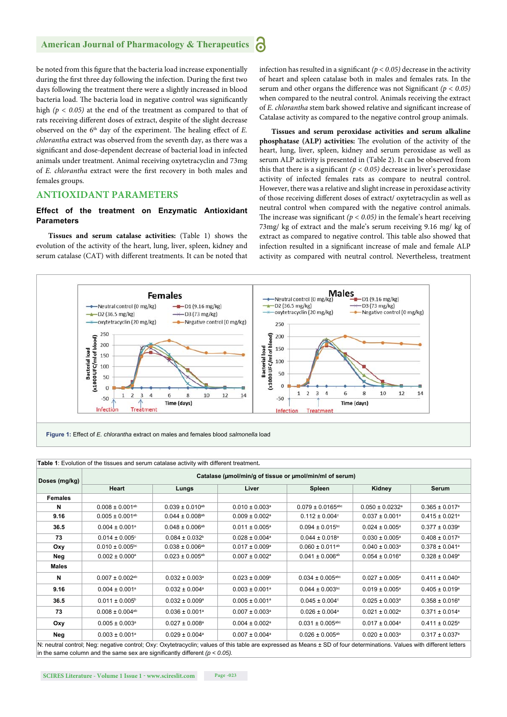be noted from this figure that the bacteria load increase exponentially during the first three day following the infection. During the first two days following the treatment there were a slightly increased in blood bacteria load. The bacteria load in negative control was significantly high *(p < 0.05)* at the end of the treatment as compared to that of rats receiving different doses of extract, despite of the slight decrease observed on the 6<sup>th</sup> day of the experiment. The healing effect of *E*. *chlorantha* extract was observed from the seventh day, as there was a significant and dose-dependent decrease of bacterial load in infected animals under treatment. Animal receiving oxytetracyclin and 73mg of *E. chlorantha* extract were the first recovery in both males and females groups.

# **ANTIOXIDANT PARAMETERS**

# **Effect of the treatment on Enzymatic Antioxidant Parameters**

**Tissues and serum catalase activities:** (Table 1) shows the evolution of the activity of the heart, lung, liver, spleen, kidney and serum catalase (CAT) with different treatments. It can be noted that infection has resulted in a significant  $(p < 0.05)$  decrease in the activity of heart and spleen catalase both in males and females rats. In the serum and other organs the difference was not Significant  $(p < 0.05)$ when compared to the neutral control. Animals receiving the extract of *E. chlorantha* stem bark showed relative and significant increase of Catalase activity as compared to the negative control group animals.

**Tissues and serum peroxidase activities and serum alkaline phosphatase** (ALP) activities: The evolution of the activity of the heart, lung, liver, spleen, kidney and serum peroxidase as well as serum ALP activity is presented in (Table 2). It can be observed from this that there is a significant  $(p < 0.05)$  decrease in liver's peroxidase activity of infected females rats as compare to neutral control. However, there was a relative and slight increase in peroxidase activity of those receiving different doses of extract/oxytetracyclin as well as neutral control when compared with the negative control animals. The increase was significant  $(p < 0.05)$  in the female's heart receiving 73mg/ kg of extract and the male's serum receiving 9.16 mg/ kg of extract as compared to negative control. This table also showed that infection resulted in a significant increase of male and female ALP activity as compared with neutral control. Nevertheless, treatment



| Doses (mg/kg)  | Catalase (µmol/min/g of tissue or µmol/min/ml of serum) |                                 |                                |                                  |                                 |                                |  |  |  |
|----------------|---------------------------------------------------------|---------------------------------|--------------------------------|----------------------------------|---------------------------------|--------------------------------|--|--|--|
|                | Heart                                                   | Lungs                           | Liver                          | <b>Spleen</b>                    | Kidney                          | <b>Serum</b>                   |  |  |  |
| <b>Females</b> |                                                         |                                 |                                |                                  |                                 |                                |  |  |  |
| N              | $0.008 \pm 0.001^{ab}$                                  | $0.039 \pm 0.010^{ab}$          | $0.010 \pm 0.003$ <sup>a</sup> | $0.079 \pm 0.0165$ abc           | $0.050 \pm 0.0232$ <sup>a</sup> | $0.365 \pm 0.017$ <sup>a</sup> |  |  |  |
| 9.16           | $0.005 \pm 0.001$ <sup>ab</sup>                         | $0.044 \pm 0.008$ <sup>ab</sup> | $0.009 \pm 0.002$ <sup>a</sup> | $0.112 \pm 0.004$ °              | $0.037 \pm 0.001$ <sup>a</sup>  | $0.415 \pm 0.021$ <sup>a</sup> |  |  |  |
| 36.5           | $0.004 \pm 0.001$ <sup>a</sup>                          | $0.048 \pm 0.006^{ab}$          | $0.011 \pm 0.005^a$            | $0.094 \pm 0.015$ <sup>bc</sup>  | $0.024 \pm 0.005^{\circ}$       | $0.377 \pm 0.039^{\circ}$      |  |  |  |
| 73             | $0.014 \pm 0.005$ °                                     | $0.084 \pm 0.032^b$             | $0.028 \pm 0.004$ <sup>a</sup> | $0.044 \pm 0.018$ <sup>a</sup>   | $0.030 \pm 0.005^{\circ}$       | $0.408 \pm 0.017$ <sup>a</sup> |  |  |  |
| Oxy            | $0.010 \pm 0.005$ <sup>bc</sup>                         | $0.038 \pm 0.006^{ab}$          | $0.017 \pm 0.009^{\circ}$      | $0.060 \pm 0.011^{ab}$           | $0.040 \pm 0.003$ <sup>a</sup>  | $0.378 \pm 0.041$ <sup>a</sup> |  |  |  |
| Neg            | $0.002 \pm 0.000^{\circ}$                               | $0.023 \pm 0.005^{ab}$          | $0.007 \pm 0.002$ <sup>a</sup> | $0.041 \pm 0.006^{ab}$           | $0.054 \pm 0.016^a$             | $0.328 \pm 0.049^{\circ}$      |  |  |  |
| Males          |                                                         |                                 |                                |                                  |                                 |                                |  |  |  |
| N              | $0.007 \pm 0.002$ <sup>ab</sup>                         | $0.032 \pm 0.003$ <sup>a</sup>  | $0.023 \pm 0.009^{\circ}$      | $0.034 \pm 0.005$ <sup>abc</sup> | $0.027 \pm 0.005^{\circ}$       | $0.411 \pm 0.040^a$            |  |  |  |
| 9.16           | $0.004 \pm 0.001^a$                                     | $0.032 \pm 0.004$ <sup>a</sup>  | $0.003 \pm 0.001^a$            | $0.044 \pm 0.003$ <sup>bc</sup>  | $0.019 \pm 0.005^a$             | $0.405 \pm 0.019$ <sup>a</sup> |  |  |  |
| 36.5           | $0.011 \pm 0.005^{\circ}$                               | $0.032 \pm 0.009^a$             | $0.005 \pm 0.001$ <sup>a</sup> | $0.045 \pm 0.004$ °              | $0.025 \pm 0.003$ <sup>a</sup>  | $0.358 \pm 0.016^a$            |  |  |  |
| 73             | $0.008 \pm 0.004$ <sup>ab</sup>                         | $0.036 \pm 0.001$ <sup>a</sup>  | $0.007 \pm 0.003$ <sup>a</sup> | $0.026 \pm 0.004$ <sup>a</sup>   | $0.021 \pm 0.002$ <sup>a</sup>  | $0.371 \pm 0.014$ <sup>a</sup> |  |  |  |
| Oxy            | $0.005 \pm 0.003$ <sup>a</sup>                          | $0.027 \pm 0.008$ <sup>a</sup>  | $0.004 \pm 0.002$ <sup>a</sup> | $0.031 \pm 0.005$ <sup>abc</sup> | $0.017 \pm 0.004$ <sup>a</sup>  | $0.411 \pm 0.025$ <sup>a</sup> |  |  |  |
| Neg            | $0.003 \pm 0.001$ <sup>a</sup>                          | $0.029 \pm 0.004$ <sup>a</sup>  | $0.007 \pm 0.004$ <sup>a</sup> | $0.026 \pm 0.005$ <sup>ab</sup>  | $0.020 \pm 0.003$ <sup>a</sup>  | $0.317 \pm 0.037$ <sup>a</sup> |  |  |  |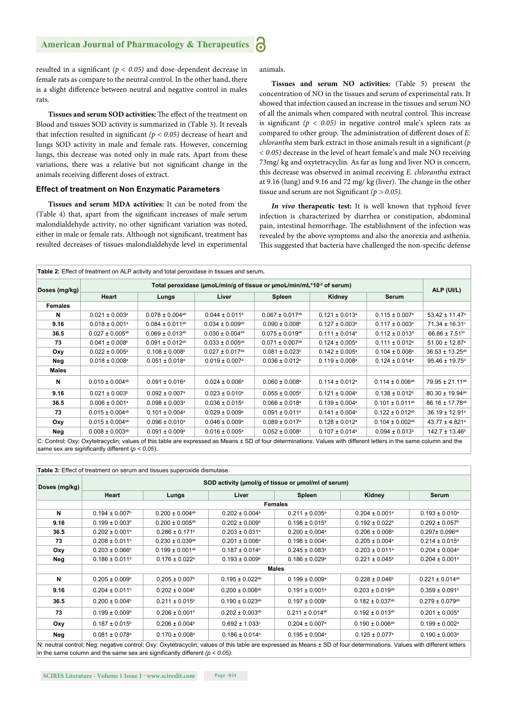resulted in a significant  $(p < 0.05)$  and dose-dependent decrease in female rats as compare to the neutral control. In the other hand, there is a slight difference between neutral and negative control in males rats.

**Tissues and serum SOD activities:** The effect of the treatment on Blood and tissues SOD activity is summarized in (Table 3). It reveals that infection resulted in significant  $(p < 0.05)$  decrease of heart and lungs SOD activity in male and female rats. However, concerning lungs, this decrease was noted only in male rats. Apart from these variations, there was a relative but not significant change in the animals receiving different doses of extract.

# **Effect of treatment on Non Enzymatic Parameters**

**Tissues and serum MDA activities:** It can be noted from the (Table 4) that, apart from the significant increases of male serum malondialdehyde activity, no other significant variation was noted, either in male or female rats. Although not significant, treatment has resulted decreases of tissues malondialdehyde level in experimental animals.

**Tissues and serum NO activities:** (Table 5) present the concentration of NO in the tissues and serum of experimental rats. It showed that infection caused an increase in the tissues and serum NO of all the animals when compared with neutral control. This increase is significant  $(p < 0.05)$  in negative control male's spleen rats as compared to other group. The administration of different doses of *E*. *chlorantha* stem bark extract in those animals result in a significant (p *< 0.05)* decrease in the level of heart female's and male NO receiving 73mg/ kg and oxytetracyclin. As far as lung and liver NO is concern, this decrease was observed in animal receiving *E. chlorantha* extract at 9.16 (lung) and 9.16 and 72 mg/ kg (liver). The change in the other tissue and serum are not Significant  $(p > 0.05)$ .

*In vivo* **therapeutic test:** It is well known that typhoid fever infection is characterized by diarrhea or constipation, abdominal pain, intestinal hemorrhage. The establishment of the infection was revealed by the above symptoms and also the anorexia and asthenia. This suggested that bacteria have challenged the non-specific defense

| Doses (mg/kg)  | Total peroxidase (umoL/min/g of tissue or umoL/min/mL*10 <sup>-2</sup> of serum) |                                 |                                 |                                 |                                |                                 |                                |  |  |
|----------------|----------------------------------------------------------------------------------|---------------------------------|---------------------------------|---------------------------------|--------------------------------|---------------------------------|--------------------------------|--|--|
|                | Heart                                                                            | Lungs                           | Liver                           | <b>Spleen</b>                   | Kidney                         | <b>Serum</b>                    | ALP (UI/L)                     |  |  |
| <b>Females</b> |                                                                                  |                                 |                                 |                                 |                                |                                 |                                |  |  |
| N              | $0.021 \pm 0.003$ <sup>a</sup>                                                   | $0.078 \pm 0.004$ <sup>ab</sup> | $0.044 \pm 0.011$ <sup>b</sup>  | $0.067 \pm 0.017$ <sup>ab</sup> | $0.121 \pm 0.013$ <sup>a</sup> | $0.115 \pm 0.007$ <sup>a</sup>  | 53.42 ± 11.47 <sup>a</sup>     |  |  |
| 9.16           | $0.018 \pm 0.001^a$                                                              | $0.084 \pm 0.011^{ab}$          | $0.034 \pm 0.009^{ab}$          | $0.090 \pm 0.008^{\circ}$       | $0.127 \pm 0.003$ <sup>a</sup> | $0.117 \pm 0.003$ <sup>a</sup>  | $71.34 \pm 16.31^{\circ}$      |  |  |
| 36.5           | $0.027 \pm 0.005^{ab}$                                                           | $0.069 \pm 0.013^{ab}$          | $0.030 \pm 0.004$ <sup>ab</sup> | $0.075 \pm 0.019$ <sup>ab</sup> | $0.111 \pm 0.014$ <sup>a</sup> | $0.112 \pm 0.013$ <sup>a</sup>  | $66.86 \pm 7.51$ <sup>bc</sup> |  |  |
| 73             | $0.041 \pm 0.008$ <sup>b</sup>                                                   | $0.091 \pm 0.012$ ab            | $0.033 \pm 0.005^{ab}$          | $0.071 \pm 0.007$ <sup>ab</sup> | $0.124 \pm 0.005^{\circ}$      | $0.111 \pm 0.012$ <sup>a</sup>  | $51.00 \pm 12.87$ <sup>a</sup> |  |  |
| Oxy            | $0.022 \pm 0.005^{\circ}$                                                        | $0.108 \pm 0.008$ <sup>b</sup>  | $0.027 \pm 0.017^{ab}$          | $0.081 \pm 0.023^b$             | $0.142 \pm 0.005^{\circ}$      | $0.104 \pm 0.008$ <sup>a</sup>  | $36.53 \pm 13.25^{ab}$         |  |  |
| Neg            | $0.018 \pm 0.008$ <sup>a</sup>                                                   | $0.051 \pm 0.018$ <sup>a</sup>  | $0.019 \pm 0.007$ <sup>a</sup>  | $0.036 \pm 0.012$ <sup>a</sup>  | $0.119 \pm 0.008$ <sup>a</sup> | $0.124 \pm 0.014$ <sup>a</sup>  | $95.46 \pm 19.75$ <sup>d</sup> |  |  |
| Males          |                                                                                  |                                 |                                 |                                 |                                |                                 |                                |  |  |
| N              | $0.010 \pm 0.004$ <sup>ab</sup>                                                  | $0.091 \pm 0.016^a$             | $0.024 \pm 0.006^a$             | $0.060 \pm 0.008$ <sup>a</sup>  | $0.114 \pm 0.012$ <sup>a</sup> | $0.114 \pm 0.006^{ab}$          | 79.95 ± 21.11 <sup>ab</sup>    |  |  |
| 9.16           | $0.021 \pm 0.003$ <sup>b</sup>                                                   | $0.092 \pm 0.007$ <sup>a</sup>  | $0.023 \pm 0.010^a$             | $0.055 \pm 0.005^{\circ}$       | $0.121 \pm 0.004$ <sup>a</sup> | $0.138 \pm 0.012$ <sup>b</sup>  | 80.30 ± 19.94 <sup>ab</sup>    |  |  |
| 36.5           | $0.006 \pm 0.001$ <sup>a</sup>                                                   | $0.098 \pm 0.003$ <sup>a</sup>  | $0.036 \pm 0.015^{\circ}$       | $0.066 \pm 0.018$ <sup>a</sup>  | $0.139 \pm 0.004^a$            | $0.101 \pm 0.011^{ab}$          | 86.16 ± 17.78 <sup>ab</sup>    |  |  |
| 73             | $0.015 \pm 0.004$ <sup>ab</sup>                                                  | $0.101 \pm 0.004^a$             | $0.029 \pm 0.009^{\circ}$       | $0.091 \pm 0.011^a$             | $0.141 \pm 0.004$ <sup>a</sup> | $0.122 \pm 0.012$ <sup>ab</sup> | 36.19 ± 12.91 <sup>a</sup>     |  |  |
| Oxy            | $0.015 \pm 0.004^{ab}$                                                           | $0.096 \pm 0.010^a$             | $0.046 \pm 0.009^{\circ}$       | $0.089 \pm 0.017$ <sup>a</sup>  | $0.128 \pm 0.012$ <sup>a</sup> | $0.104 \pm 0.002^{ab}$          | $43.77 \pm 4.821^a$            |  |  |
| Neg            | $0.008 \pm 0.003^{ab}$                                                           | $0.091 \pm 0.009^a$             | $0.016 \pm 0.005^{\circ}$       | $0.052 \pm 0.008$ <sup>a</sup>  | $0.107 \pm 0.014$ <sup>a</sup> | $0.094 \pm 0.013$ <sup>a</sup>  | $142.7 \pm 13.46^{\circ}$      |  |  |

same sex are significantly different  $(p < 0.05)$ .

| Doses (mg/kg) | SOD activity (umol/g of tissue or umol/ml of serum) |                                 |                                 |                                 |                                 |                                 |  |  |  |
|---------------|-----------------------------------------------------|---------------------------------|---------------------------------|---------------------------------|---------------------------------|---------------------------------|--|--|--|
|               | Heart                                               | Lungs                           | Liver                           | Spleen                          | Kidney                          | Serum                           |  |  |  |
|               | <b>Females</b>                                      |                                 |                                 |                                 |                                 |                                 |  |  |  |
| N             | $0.194 \pm 0.007$ <sup>b</sup>                      | $0.200 \pm 0.004$ <sup>ab</sup> | $0.202 \pm 0.004$ <sup>a</sup>  | $0.211 \pm 0.035$ <sup>a</sup>  | $0.204 \pm 0.001$ <sup>a</sup>  | $0.193 \pm 0.010^a$             |  |  |  |
| 9.16          | $0.199 \pm 0.003^b$                                 | $0.200 \pm 0.005^{ab}$          | $0.202 \pm 0.009^{\circ}$       | $0.198 \pm 0.015$ <sup>a</sup>  | $0.192 \pm 0.022$ <sup>a</sup>  | $0.292 \pm 0.057$ <sup>b</sup>  |  |  |  |
| 36.5          | $0.202 \pm 0.001$ <sup>b</sup>                      | $0.286 \pm 0.171$ <sup>b</sup>  | $0.203 \pm 0.031$ <sup>a</sup>  | $0.200 \pm 0.004$ <sup>a</sup>  | $0.206 \pm 0.008$ <sup>a</sup>  | $0.297 \pm 0.096^{ab}$          |  |  |  |
| 73            | $0.208 \pm 0.011$ <sup>b</sup>                      | $0.230 \pm 0.039^{ab}$          | $0.201 \pm 0.006^a$             | $0.198 \pm 0.004$ <sup>a</sup>  | $0.205 \pm 0.004$ <sup>a</sup>  | $0.214 \pm 0.015^a$             |  |  |  |
| Oxy           | $0.203 \pm 0.066^{\circ}$                           | $0.199 \pm 0.001^{ab}$          | $0.187 \pm 0.014$ <sup>a</sup>  | $0.245 \pm 0.083$ <sup>a</sup>  | $0.203 \pm 0.011$ <sup>a</sup>  | $0.204 \pm 0.004$ <sup>a</sup>  |  |  |  |
| Neg           | $0.186 \pm 0.011$ <sup>a</sup>                      | $0.176 \pm 0.022$ <sup>a</sup>  | $0.193 \pm 0.009^{\circ}$       | $0.186 \pm 0.029$ <sup>a</sup>  | $0.221 \pm 0.045$ <sup>a</sup>  | $0.204 \pm 0.001$ <sup>a</sup>  |  |  |  |
|               | <b>Males</b>                                        |                                 |                                 |                                 |                                 |                                 |  |  |  |
| N             | $0.205 \pm 0.009$ <sup>b</sup>                      | $0.205 \pm 0.007$ <sup>b</sup>  | $0.195 \pm 0.022$ <sup>ab</sup> | $0.199 \pm 0.009^{\circ}$       | $0.228 \pm 0.046$ <sup>b</sup>  | $0.221 \pm 0.014$ <sup>ab</sup> |  |  |  |
| 9.16          | $0.204 \pm 0.011$ <sup>b</sup>                      | $0.202 \pm 0.004$ <sup>b</sup>  | $0.200 \pm 0.006^{ab}$          | $0.191 \pm 0.001^a$             | $0.203 \pm 0.019^{ab}$          | $0.359 \pm 0.091$ <sup>b</sup>  |  |  |  |
| 36.5          | $0.200 \pm 0.004$ <sup>b</sup>                      | $0.211 \pm 0.015$ <sup>b</sup>  | $0.190 \pm 0.023$ <sup>ab</sup> | $0.197 \pm 0.009^{\circ}$       | $0.182 \pm 0.037$ <sup>ab</sup> | $0.279 \pm 0.079$ <sup>ab</sup> |  |  |  |
| 73            | $0.199 \pm 0.009$ <sup>b</sup>                      | $0.206 \pm 0.001$ <sup>b</sup>  | $0.202 \pm 0.003$ <sup>ab</sup> | $0.211 \pm 0.014$ <sup>ab</sup> | $0.192 \pm 0.013$ <sup>ab</sup> | $0.201 \pm 0.005^{\circ}$       |  |  |  |
| Oxy           | $0.187 \pm 0.015^{\circ}$                           | $0.206 \pm 0.004^b$             | $0.692 \pm 1.033$ <sup>c</sup>  | $0.204 \pm 0.007$ <sup>a</sup>  | $0.190 \pm 0.006^{ab}$          | $0.199 \pm 0.002$ <sup>a</sup>  |  |  |  |
| Neg           | $0.081 \pm 0.078$ <sup>a</sup>                      | $0.170 \pm 0.008$ <sup>a</sup>  | $0.186 \pm 0.014$ <sup>a</sup>  | $0.195 \pm 0.004^a$             | $0.125 \pm 0.077$ <sup>a</sup>  | $0.190 \pm 0.003$ <sup>a</sup>  |  |  |  |

in the same column and the same sex are significantly different  $(p < 0.05)$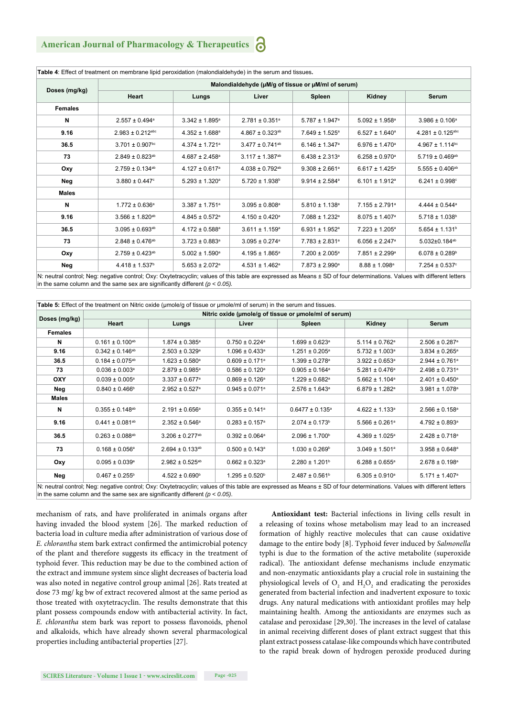|                | Malondialdehyde (µM/g of tissue or µM/ml of serum) |                                |                                 |                                |                                |                                 |  |  |
|----------------|----------------------------------------------------|--------------------------------|---------------------------------|--------------------------------|--------------------------------|---------------------------------|--|--|
| Doses (mg/kg)  | Heart                                              | Lungs                          | Liver                           | Spleen                         | Kidney                         | <b>Serum</b>                    |  |  |
| <b>Females</b> |                                                    |                                |                                 |                                |                                |                                 |  |  |
| N              | $2.557 \pm 0.494$ <sup>a</sup>                     | $3.342 \pm 1.895^a$            | $2.781 \pm 0.351^a$             | $5.787 \pm 1.947$ <sup>a</sup> | $5.092 \pm 1.958^a$            | $3.986 \pm 0.106^a$             |  |  |
| 9.16           | $2.983 \pm 0.212$ <sup>abc</sup>                   | $4.352 \pm 1.688$ <sup>a</sup> | $4.867 \pm 0.323$ <sup>ab</sup> | $7.649 \pm 1.525^a$            | $6.527 \pm 1.640^a$            | $4.281 \pm 0.125$ abc           |  |  |
| 36.5           | $3.701 \pm 0.907$ bc                               | $4.374 \pm 1.721^a$            | $3.477 \pm 0.741^{ab}$          | $6.146 \pm 1.347$ <sup>a</sup> | $6.976 \pm 1.470^a$            | $4.967 \pm 1.114$ <sup>bc</sup> |  |  |
| 73             | $2.849 \pm 0.823$ <sup>ab</sup>                    | $4.687 \pm 2.458$ <sup>a</sup> | $3.117 \pm 1.387$ <sup>ab</sup> | $6.438 \pm 2.313$ <sup>a</sup> | $6.258 \pm 0.970$ <sup>a</sup> | $5.719 \pm 0.469$ <sup>ab</sup> |  |  |
| Oxy            | $2.759 \pm 0.134$ <sup>ab</sup>                    | $4.127 \pm 0.617$ <sup>a</sup> | $4.038 \pm 0.792$ <sup>ab</sup> | $9.308 \pm 2.661$ <sup>a</sup> | $6.617 \pm 1.425^a$            | $5.555 \pm 0.406$ <sup>ab</sup> |  |  |
| Neg            | $3.880 \pm 0.447$ °                                | $5.293 \pm 1.320^a$            | $5.720 \pm 1.938$ <sup>b</sup>  | $9.914 \pm 2.584$ <sup>a</sup> | $6.101 \pm 1.912$ <sup>a</sup> | $6.241 \pm 0.998^{\circ}$       |  |  |
| Males          |                                                    |                                |                                 |                                |                                |                                 |  |  |
| N              | $1.772 \pm 0.636^a$                                | $3.387 \pm 1.751^a$            | $3.095 \pm 0.808^a$             | $5.810 \pm 1.138$ <sup>a</sup> | $7.155 \pm 2.791$ <sup>a</sup> | $4.444 \pm 0.544^a$             |  |  |
| 9.16           | $3.566 \pm 1.820^{ab}$                             | $4.845 \pm 0.572$ <sup>a</sup> | $4.150 \pm 0.420$ <sup>a</sup>  | 7.088 ± 1.232 <sup>a</sup>     | $8.075 \pm 1.407$ <sup>a</sup> | $5.718 \pm 1.038$ <sup>b</sup>  |  |  |
| 36.5           | $3.095 \pm 0.693^{ab}$                             | $4.172 \pm 0.588$ <sup>a</sup> | $3.611 \pm 1.159$ <sup>a</sup>  | $6.931 \pm 1.952$ <sup>a</sup> | $7.223 \pm 1.205^a$            | $5.654 \pm 1.131$ <sup>b</sup>  |  |  |
| 73             | $2.848 \pm 0.476^{ab}$                             | $3.723 \pm 0.883$ <sup>a</sup> | $3.095 \pm 0.274$ <sup>a</sup>  | $7.783 \pm 2.831^a$            | $6.056 \pm 2.247$ <sup>a</sup> | $5.032 \pm 0.184$ <sup>ab</sup> |  |  |
| Oxy            | $2.759 \pm 0.423^{ab}$                             | $5.002 \pm 1.590^{\circ}$      | $4.195 \pm 1.865^a$             | $7.200 \pm 2.005^a$            | $7.851 \pm 2.299^a$            | $6.078 \pm 0.289^b$             |  |  |
| Neg            | $4.418 \pm 1.537$ <sup>b</sup>                     | $5.653 \pm 2.072$ <sup>a</sup> | $4.531 \pm 1.462$ <sup>a</sup>  | $7.873 \pm 2.990^{\circ}$      | $8.88 \pm 1.098$ <sup>a</sup>  | $7.254 \pm 0.537$ °             |  |  |

N: neutral control; Neg: negative control; Oxy: Oxytetracyclin; values of this table are expressed as Means ± SD of four determinations. Values with different letters in the same column and the same sex are significantly different  $(p < 0.05)$ .

|                |                                                       | Table 5: Effect of the treatment on Nitric oxide (umole/g of tissue or umole/ml of serum) in the serum and tissues. |                                |                                |                                |                                |  |  |  |
|----------------|-------------------------------------------------------|---------------------------------------------------------------------------------------------------------------------|--------------------------------|--------------------------------|--------------------------------|--------------------------------|--|--|--|
| Doses (mg/kg)  | Nitric oxide (umole/g of tissue or umole/ml of serum) |                                                                                                                     |                                |                                |                                |                                |  |  |  |
|                | Heart                                                 | Lungs                                                                                                               | Liver                          | <b>Spleen</b>                  | Kidney                         | Serum                          |  |  |  |
| <b>Females</b> |                                                       |                                                                                                                     |                                |                                |                                |                                |  |  |  |
| N              | $0.161 \pm 0.100^{ab}$                                | $1.874 \pm 0.385^{\circ}$                                                                                           | $0.750 \pm 0.224$ <sup>a</sup> | $1.699 \pm 0.623$ <sup>a</sup> | $5.114 \pm 0.762$ <sup>a</sup> | $2.506 \pm 0.287$ <sup>a</sup> |  |  |  |
| 9.16           | $0.342 \pm 0.146^{ab}$                                | $2.503 \pm 0.329$ <sup>a</sup>                                                                                      | $1.096 \pm 0.433$ <sup>a</sup> | $1.251 \pm 0.205^{\circ}$      | $5.732 \pm 1.003$ <sup>a</sup> | $3.834 \pm 0.265^{\circ}$      |  |  |  |
| 36.5           | $0.184 \pm 0.075$ <sup>ab</sup>                       | $1.623 \pm 0.580$ <sup>a</sup>                                                                                      | $0.609 \pm 0.171$ <sup>a</sup> | $1.399 \pm 0.278$ <sup>a</sup> | $3.922 \pm 0.653$ <sup>a</sup> | $2.944 \pm 0.761$ <sup>a</sup> |  |  |  |
| 73             | $0.036 \pm 0.003$ <sup>a</sup>                        | $2.879 \pm 0.985$ <sup>a</sup>                                                                                      | $0.586 \pm 0.120$ <sup>a</sup> | $0.905 \pm 0.164$ <sup>a</sup> | $5.281 \pm 0.476$ <sup>a</sup> | $2.498 \pm 0.731$ <sup>a</sup> |  |  |  |
| OXY            | $0.039 \pm 0.005$ <sup>a</sup>                        | $3.337 \pm 0.677$ <sup>a</sup>                                                                                      | $0.869 \pm 0.126$ <sup>a</sup> | $1.229 \pm 0.682$ <sup>a</sup> | $5.662 \pm 1.104$ <sup>a</sup> | $2.401 \pm 0.450$ <sup>a</sup> |  |  |  |
| Neg            | $0.840 \pm 0.466^{\circ}$                             | $2.952 \pm 0.527$ <sup>a</sup>                                                                                      | $0.945 \pm 0.071$ <sup>a</sup> | $2.576 \pm 1.643$ <sup>a</sup> | $6.879 \pm 1.282$ <sup>a</sup> | $3.981 \pm 1.078$ <sup>a</sup> |  |  |  |
| Males          |                                                       |                                                                                                                     |                                |                                |                                |                                |  |  |  |
| N              | $0.355 \pm 0.148^{ab}$                                | $2.191 \pm 0.656^a$                                                                                                 | $0.355 \pm 0.141^a$            | $0.6477 \pm 0.135^a$           | $4.622 \pm 1.133$ <sup>a</sup> | $2.566 \pm 0.158$ <sup>a</sup> |  |  |  |
| 9.16           | $0.441 \pm 0.081$ <sup>ab</sup>                       | $2.352 \pm 0.546^a$                                                                                                 | $0.283 \pm 0.157$ <sup>a</sup> | $2.074 \pm 0.173$ <sup>b</sup> | $5.566 \pm 0.261$ <sup>a</sup> | $4.792 \pm 0.893$ <sup>a</sup> |  |  |  |
| 36.5           | $0.263 \pm 0.088$ <sup>ab</sup>                       | $3.206 \pm 0.277$ <sup>ab</sup>                                                                                     | $0.392 \pm 0.064$ <sup>a</sup> | $2.096 \pm 1.700^{\circ}$      | $4.369 \pm 1.025^{\circ}$      | $2.428 \pm 0.718$ <sup>a</sup> |  |  |  |
| 73             | $0.168 \pm 0.056^a$                                   | $2.694 \pm 0.133$ <sup>ab</sup>                                                                                     | $0.500 \pm 0.143$ <sup>a</sup> | $1.030 \pm 0.269^{\circ}$      | $3.049 \pm 1.501^a$            | $3.958 \pm 0.648^a$            |  |  |  |
| Oxy            | $0.095 \pm 0.039^a$                                   | $2.982 \pm 0.525$ <sup>ab</sup>                                                                                     | $0.662 \pm 0.323$ <sup>a</sup> | $2.280 \pm 1.201$ <sup>b</sup> | $6.288 \pm 0.655^{\circ}$      | $2.678 \pm 0.198$ <sup>a</sup> |  |  |  |
| Neg            | $0.467 \pm 0.255$ <sup>b</sup>                        | $4.522 \pm 0.690^{\circ}$                                                                                           | $1.295 \pm 0.520^{\circ}$      | $2.487 \pm 0.561$ <sup>b</sup> | $6.305 \pm 0.910^{\circ}$      | $5.171 \pm 1.407$ <sup>a</sup> |  |  |  |

N: neutral control; Neg: negative control; Oxy: Oxytetracyclin; values of this table are expressed as Means ± SD of four determinations. Values with different letters in the same column and the same sex are significantly different  $(p < 0.05)$ .

mechanism of rats, and have proliferated in animals organs after having invaded the blood system [26]. The marked reduction of bacteria load in culture media after administration of various dose of *E. chlorantha* stem bark extract confirmed the antimicrobial potency of the plant and therefore suggests its efficacy in the treatment of typhoid fever. This reduction may be due to the combined action of the extract and immune system since slight decreases of bacteria load was also noted in negative control group animal [26]. Rats treated at dose 73 mg/ kg bw of extract recovered almost at the same period as those treated with oxytetracyclin. The results demonstrate that this plant possess compounds endow with antibacterial activity. In fact, *E. chlorantha* stem bark was report to possess flavonoids, phenol and alkaloids, which have already shown several pharmacological properties including antibacterial properties [27].

**Antioxidant test:** Bacterial infections in living cells result in a releasing of toxins whose metabolism may lead to an increased formation of highly reactive molecules that can cause oxidative damage to the entire body [8]. Typhoid fever induced by *Salmonella* typhi is due to the formation of the active metabolite (superoxide radical). The antioxidant defense mechanisms include enzymatic and non-enzymatic antioxidants play a crucial role in sustaining the physiological levels of  $O_2$  and  $H_2O_2$  and eradicating the peroxides generated from bacterial infection and inadvertent exposure to toxic drugs. Any natural medications with antioxidant profiles may help maintaining health. Among the antioxidants are enzymes such as catalase and peroxidase [29,30]. The increases in the level of catalase in animal receiving different doses of plant extract suggest that this plant extract possess catalase-like compounds which have contributed to the rapid break down of hydrogen peroxide produced during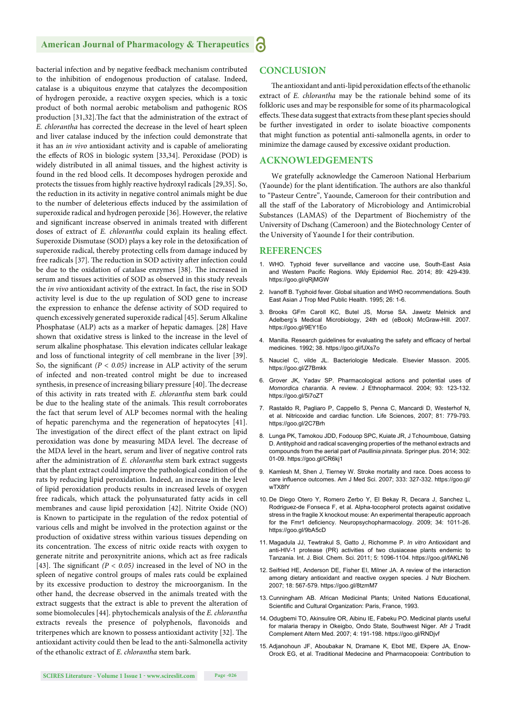#### **American Journal of Pharmacology & Therapeutics** Ъ

bacterial infection and by negative feedback mechanism contributed to the inhibition of endogenous production of catalase. Indeed, catalase is a ubiquitous enzyme that catalyzes the decomposition of hydrogen peroxide, a reactive oxygen species, which is a toxic product of both normal aerobic metabolism and pathogenic ROS production [31,32]. The fact that the administration of the extract of *E. chlorantha* has corrected the decrease in the level of heart spleen and liver catalase induced by the infection could demonstrate that it has an *in vivo* antioxidant activity and is capable of ameliorating the effects of ROS in biologic system [33,34]. Peroxidase (POD) is widely distributed in all animal tissues, and the highest activity is found in the red blood cells. It decomposes hydrogen peroxide and protects the tissues from highly reactive hydroxyl radicals [29,35]. So, the reduction in its activity in negative control animals might be due to the number of deleterious effects induced by the assimilation of superoxide radical and hydrogen peroxide [36]. However, the relative and significant increase observed in animals treated with different doses of extract of *E. chlorantha* could explain its healing effect. Superoxide Dismutase (SOD) plays a key role in the detoxification of superoxide radical, thereby protecting cells from damage induced by free radicals [37]. The reduction in SOD activity after infection could be due to the oxidation of catalase enzymes [38]. The increased in serum and tissues activities of SOD as observed in this study reveals the *in vivo* antioxidant activity of the extract. In fact, the rise in SOD activity level is due to the up regulation of SOD gene to increase the expression to enhance the defense activity of SOD required to quench excessively generated superoxide radical [45]. Serum Alkaline Phosphatase (ALP) acts as a marker of hepatic damages. [28] Have shown that oxidative stress is linked to the increase in the level of serum alkaline phosphatase. This elevation indicates cellular leakage and loss of functional integrity of cell membrane in the liver [39]. So, the significant  $(P < 0.05)$  increase in ALP activity of the serum of infected and non-treated control might be due to increased synthesis, in presence of increasing biliary pressure [40]. The decrease of this activity in rats treated with *E. chlorantha* stem bark could be due to the healing state of the animals. This result corroborates the fact that serum level of ALP becomes normal with the healing of hepatic parenchyma and the regeneration of hepatocytes [41]. The investigation of the direct effect of the plant extract on lipid peroxidation was done by measuring MDA level. The decrease of the MDA level in the heart, serum and liver of negative control rats after the administration of *E. chlorantha* stem bark extract suggests that the plant extract could improve the pathological condition of the rats by reducing lipid peroxidation. Indeed, an increase in the level of lipid peroxidation products results in increased levels of oxygen free radicals, which attack the polyunsaturated fatty acids in cell membranes and cause lipid peroxidation [42]. Nitrite Oxide (NO) is Known to participate in the regulation of the redox potential of various cells and might be involved in the protection against or the production of oxidative stress within various tissues depending on its concentration. The excess of nitric oxide reacts with oxygen to generate nitrite and peroxynitrite anions, which act as free radicals [43]. The significant  $(P < 0.05)$  increased in the level of NO in the spleen of negative control groups of males rats could be explained by its excessive production to destroy the microorganism. In the other hand, the decrease observed in the animals treated with the extract suggests that the extract is able to prevent the alteration of some biomolecules [44]. phytochemicals analysis of the *E. chlorantha*  extracts reveals the presence of polyphenols, flavonoids and triterpenes which are known to possess antioxidant activity [32]. The antioxidant activity could then be lead to the anti-Salmonella activity of the ethanolic extract of *E. chlorantha* stem bark.

# **CONCLUSION**

The antioxidant and anti-lipid peroxidation effects of the ethanolic extract of *E. chlorantha* may be the rationale behind some of its folkloric uses and may be responsible for some of its pharmacological effects. These data suggest that extracts from these plant species should be further investigated in order to isolate bioactive components that might function as potential anti-salmonella agents, in order to minimize the damage caused by excessive oxidant production.

# **ACKNOWLEDGEMENTS**

We gratefully acknowledge the Cameroon National Herbarium (Yaounde) for the plant identification. The authors are also thankful to "Pasteur Centre", Yaounde, Cameroon for their contribution and all the staff of the Laboratory of Microbiology and Antimicrobial Substances (LAMAS) of the Department of Biochemistry of the University of Dschang (Cameroon) and the Biotechnology Center of the University of Yaounde I for their contribution.

# **REFERENCES**

- 1. WHO. Typhoid fever surveillance and vaccine use, South-East Asia and Western Pacific Regions. Wkly Epidemiol Rec. 2014; 89: 429-439. https://goo.gl/qRjMGW
- 2. Ivanoff B. Typhoid fever. Global situation and WHO recommendations. South East Asian J Trop Med Public Health. 1995; 26: 1-6.
- 3. Brooks GFm Caroll KC, Butel JS, Morse SA. Jawetz Melnick and Adelberg's Medical Microbiology, 24th ed (eBook) McGraw-Hill. 2007. https://goo.gl/9EY1Eo
- 4. Manilla. Research guidelines for evaluating the safety and efficacy of herbal medicines. 1992; 38. https://goo.gl/fJXs7o
- 5. Nauciel C, vilde JL. Bacteriologie Medicale. Elsevier Masson. 2005. https://goo.gl/Z7Bmkk
- 6. Grover JK, Yadav SP. Pharmacological actions and potential uses of *Momordica charantia*. A review. J Ethnopharmacol. 2004; 93: 123-132. https://goo.gl/5i7oZT
- 7. Rastaldo R, Pagliaro P, Cappello S, Penna C, Mancardi D, Westerhof N, et al. Nitricoxide and cardiac function. Life Sciences, 2007; 81: 779-793. https://goo.gl/2C7Brh
- 8. Lunga PK, Tamokou JDD, Fodouop SPC, Kuiate JR, J Tchoumboue, Gatsing D. Antityphoid and radical scavenging properties of the methanol extracts and compounds from the aerial part of *Paullinia pinnata*. Springer plus. 2014; 302: 01-09. https://goo.gl/CR6kj1
- 9. Kamlesh M, Shen J, Tierney W. Stroke mortality and race. Does access to care influence outcomes. Am J Med Sci. 2007; 333: 327-332. https://goo.gl/ wTX8fY
- 10. De Diego Otero Y, Romero Zerbo Y, El Bekay R, Decara J, Sanchez L, Rodriguez-de Fonseca F, et al. Alpha-tocopherol protects against oxidative stress in the fragile X knockout mouse: An experimental therapeutic approach for the Fmr1 deficiency. Neuropsychopharmacology. 2009; 34: 1011-26. https://goo.gl/9bA5cD
- 11. Magadula JJ, Tewtrakul S, Gatto J, Richomme P. *In vitro* Antioxidant and anti-HIV-1 protease (PR) activities of two clusiaceae plants endemic to Tanzania. Int. J. Biol. Chem. Sci. 2011; 5: 1096-1104. https://goo.gl/fAKLN6
- 12. Seifried HE, Anderson DE, Fisher EI, Milner JA. A review of the interaction among dietary antioxidant and reactive oxygen species. J Nutr Biochem. 2007; 18: 567-579. https://goo.gl/8tzmM7
- 13. Cunningham AB. African Medicinal Plants; United Nations Educational, Scientific and Cultural Organization: Paris, France, 1993.
- 14. Odugbemi TO, Akinsulire OR, Aibinu IE, Fabeku PO. Medicinal plants useful for malaria therapy in Okeigbo, Ondo State, Southwest Niger. Afr J Tradit Complement Altern Med. 2007; 4: 191-198. https://goo.gl/RNDjvf
- 15. Adjanohoun JF, Aboubakar N, Dramane K, Ebot ME, Ekpere JA, Enow-Orock EG, et al. Traditional Medecine and Pharmacopoeia: Contribution to